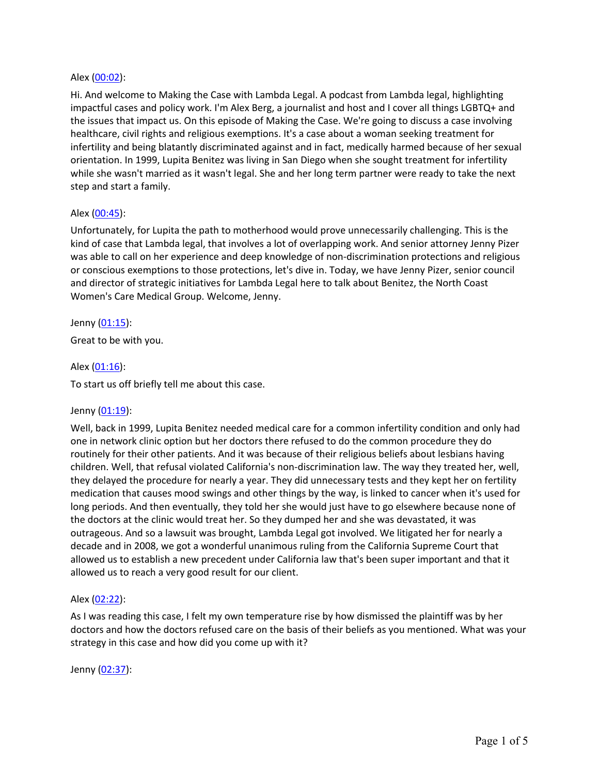## Alex (00:02):

Hi. And welcome to Making the Case with Lambda Legal. A podcast from Lambda legal, highlighting impactful cases and policy work. I'm Alex Berg, a journalist and host and I cover all things LGBTQ+ and the issues that impact us. On this episode of Making the Case. We're going to discuss a case involving healthcare, civil rights and religious exemptions. It's a case about a woman seeking treatment for infertility and being blatantly discriminated against and in fact, medically harmed because of her sexual orientation. In 1999, Lupita Benitez was living in San Diego when she sought treatment for infertility while she wasn't married as it wasn't legal. She and her long term partner were ready to take the next step and start a family.

## Alex (00:45):

Unfortunately, for Lupita the path to motherhood would prove unnecessarily challenging. This is the kind of case that Lambda legal, that involves a lot of overlapping work. And senior attorney Jenny Pizer was able to call on her experience and deep knowledge of non-discrimination protections and religious or conscious exemptions to those protections, let's dive in. Today, we have Jenny Pizer, senior council and director of strategic initiatives for Lambda Legal here to talk about Benitez, the North Coast Women's Care Medical Group. Welcome, Jenny.

Jenny (01:15): Great to be with you.

## Alex (01:16):

To start us off briefly tell me about this case.

#### Jenny (01:19):

Well, back in 1999, Lupita Benitez needed medical care for a common infertility condition and only had one in network clinic option but her doctors there refused to do the common procedure they do routinely for their other patients. And it was because of their religious beliefs about lesbians having children. Well, that refusal violated California's non-discrimination law. The way they treated her, well, they delayed the procedure for nearly a year. They did unnecessary tests and they kept her on fertility medication that causes mood swings and other things by the way, is linked to cancer when it's used for long periods. And then eventually, they told her she would just have to go elsewhere because none of the doctors at the clinic would treat her. So they dumped her and she was devastated, it was outrageous. And so a lawsuit was brought, Lambda Legal got involved. We litigated her for nearly a decade and in 2008, we got a wonderful unanimous ruling from the California Supreme Court that allowed us to establish a new precedent under California law that's been super important and that it allowed us to reach a very good result for our client.

#### Alex (02:22):

As I was reading this case, I felt my own temperature rise by how dismissed the plaintiff was by her doctors and how the doctors refused care on the basis of their beliefs as you mentioned. What was your strategy in this case and how did you come up with it?

Jenny (02:37):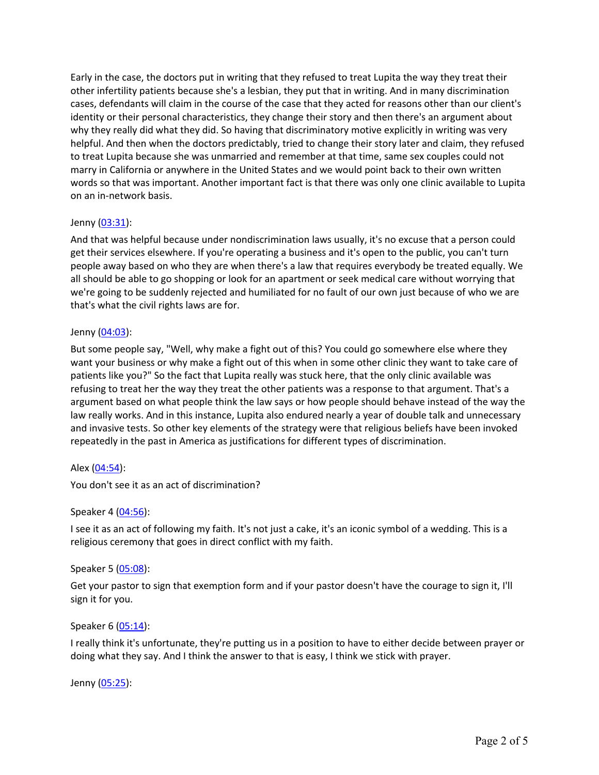Early in the case, the doctors put in writing that they refused to treat Lupita the way they treat their other infertility patients because she's a lesbian, they put that in writing. And in many discrimination cases, defendants will claim in the course of the case that they acted for reasons other than our client's identity or their personal characteristics, they change their story and then there's an argument about why they really did what they did. So having that discriminatory motive explicitly in writing was very helpful. And then when the doctors predictably, tried to change their story later and claim, they refused to treat Lupita because she was unmarried and remember at that time, same sex couples could not marry in California or anywhere in the United States and we would point back to their own written words so that was important. Another important fact is that there was only one clinic available to Lupita on an in-network basis.

# Jenny (03:31):

And that was helpful because under nondiscrimination laws usually, it's no excuse that a person could get their services elsewhere. If you're operating a business and it's open to the public, you can't turn people away based on who they are when there's a law that requires everybody be treated equally. We all should be able to go shopping or look for an apartment or seek medical care without worrying that we're going to be suddenly rejected and humiliated for no fault of our own just because of who we are that's what the civil rights laws are for.

## Jenny (04:03):

But some people say, "Well, why make a fight out of this? You could go somewhere else where they want your business or why make a fight out of this when in some other clinic they want to take care of patients like you?" So the fact that Lupita really was stuck here, that the only clinic available was refusing to treat her the way they treat the other patients was a response to that argument. That's a argument based on what people think the law says or how people should behave instead of the way the law really works. And in this instance, Lupita also endured nearly a year of double talk and unnecessary and invasive tests. So other key elements of the strategy were that religious beliefs have been invoked repeatedly in the past in America as justifications for different types of discrimination.

# Alex (04:54):

You don't see it as an act of discrimination?

# Speaker 4 (04:56):

I see it as an act of following my faith. It's not just a cake, it's an iconic symbol of a wedding. This is a religious ceremony that goes in direct conflict with my faith.

#### Speaker 5 (05:08):

Get your pastor to sign that exemption form and if your pastor doesn't have the courage to sign it, I'll sign it for you.

# Speaker 6 (05:14):

I really think it's unfortunate, they're putting us in a position to have to either decide between prayer or doing what they say. And I think the answer to that is easy, I think we stick with prayer.

Jenny (05:25):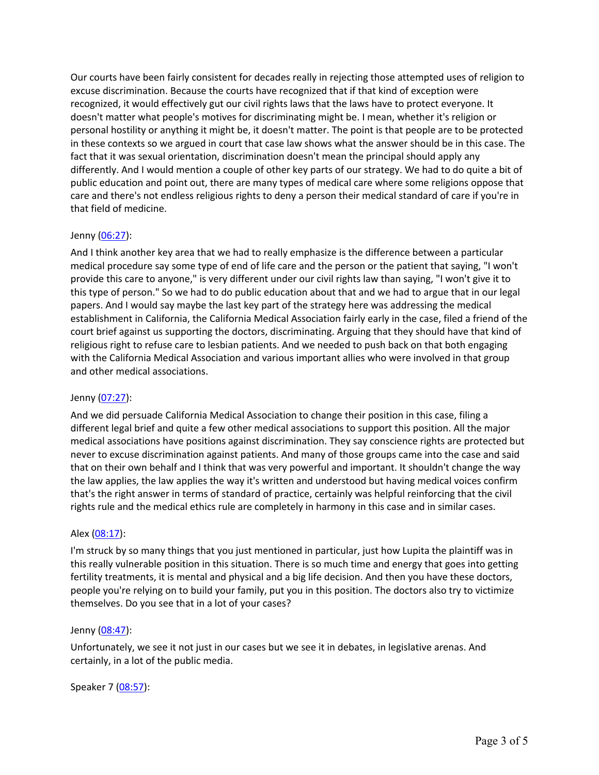Our courts have been fairly consistent for decades really in rejecting those attempted uses of religion to excuse discrimination. Because the courts have recognized that if that kind of exception were recognized, it would effectively gut our civil rights laws that the laws have to protect everyone. It doesn't matter what people's motives for discriminating might be. I mean, whether it's religion or personal hostility or anything it might be, it doesn't matter. The point is that people are to be protected in these contexts so we argued in court that case law shows what the answer should be in this case. The fact that it was sexual orientation, discrimination doesn't mean the principal should apply any differently. And I would mention a couple of other key parts of our strategy. We had to do quite a bit of public education and point out, there are many types of medical care where some religions oppose that care and there's not endless religious rights to deny a person their medical standard of care if you're in that field of medicine.

# Jenny (06:27):

And I think another key area that we had to really emphasize is the difference between a particular medical procedure say some type of end of life care and the person or the patient that saying, "I won't provide this care to anyone," is very different under our civil rights law than saying, "I won't give it to this type of person." So we had to do public education about that and we had to argue that in our legal papers. And I would say maybe the last key part of the strategy here was addressing the medical establishment in California, the California Medical Association fairly early in the case, filed a friend of the court brief against us supporting the doctors, discriminating. Arguing that they should have that kind of religious right to refuse care to lesbian patients. And we needed to push back on that both engaging with the California Medical Association and various important allies who were involved in that group and other medical associations.

# Jenny (07:27):

And we did persuade California Medical Association to change their position in this case, filing a different legal brief and quite a few other medical associations to support this position. All the major medical associations have positions against discrimination. They say conscience rights are protected but never to excuse discrimination against patients. And many of those groups came into the case and said that on their own behalf and I think that was very powerful and important. It shouldn't change the way the law applies, the law applies the way it's written and understood but having medical voices confirm that's the right answer in terms of standard of practice, certainly was helpful reinforcing that the civil rights rule and the medical ethics rule are completely in harmony in this case and in similar cases.

#### Alex (08:17):

I'm struck by so many things that you just mentioned in particular, just how Lupita the plaintiff was in this really vulnerable position in this situation. There is so much time and energy that goes into getting fertility treatments, it is mental and physical and a big life decision. And then you have these doctors, people you're relying on to build your family, put you in this position. The doctors also try to victimize themselves. Do you see that in a lot of your cases?

#### Jenny (08:47):

Unfortunately, we see it not just in our cases but we see it in debates, in legislative arenas. And certainly, in a lot of the public media.

#### Speaker 7 (08:57):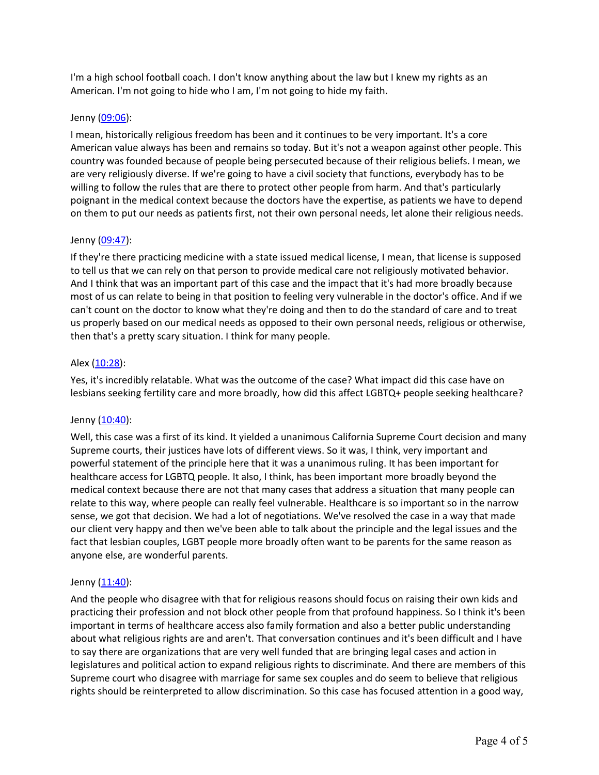I'm a high school football coach. I don't know anything about the law but I knew my rights as an American. I'm not going to hide who I am, I'm not going to hide my faith.

## Jenny (09:06):

I mean, historically religious freedom has been and it continues to be very important. It's a core American value always has been and remains so today. But it's not a weapon against other people. This country was founded because of people being persecuted because of their religious beliefs. I mean, we are very religiously diverse. If we're going to have a civil society that functions, everybody has to be willing to follow the rules that are there to protect other people from harm. And that's particularly poignant in the medical context because the doctors have the expertise, as patients we have to depend on them to put our needs as patients first, not their own personal needs, let alone their religious needs.

## Jenny (09:47):

If they're there practicing medicine with a state issued medical license, I mean, that license is supposed to tell us that we can rely on that person to provide medical care not religiously motivated behavior. And I think that was an important part of this case and the impact that it's had more broadly because most of us can relate to being in that position to feeling very vulnerable in the doctor's office. And if we can't count on the doctor to know what they're doing and then to do the standard of care and to treat us properly based on our medical needs as opposed to their own personal needs, religious or otherwise, then that's a pretty scary situation. I think for many people.

## Alex (10:28):

Yes, it's incredibly relatable. What was the outcome of the case? What impact did this case have on lesbians seeking fertility care and more broadly, how did this affect LGBTQ+ people seeking healthcare?

#### Jenny (10:40):

Well, this case was a first of its kind. It yielded a unanimous California Supreme Court decision and many Supreme courts, their justices have lots of different views. So it was, I think, very important and powerful statement of the principle here that it was a unanimous ruling. It has been important for healthcare access for LGBTQ people. It also, I think, has been important more broadly beyond the medical context because there are not that many cases that address a situation that many people can relate to this way, where people can really feel vulnerable. Healthcare is so important so in the narrow sense, we got that decision. We had a lot of negotiations. We've resolved the case in a way that made our client very happy and then we've been able to talk about the principle and the legal issues and the fact that lesbian couples, LGBT people more broadly often want to be parents for the same reason as anyone else, are wonderful parents.

#### Jenny (11:40):

And the people who disagree with that for religious reasons should focus on raising their own kids and practicing their profession and not block other people from that profound happiness. So I think it's been important in terms of healthcare access also family formation and also a better public understanding about what religious rights are and aren't. That conversation continues and it's been difficult and I have to say there are organizations that are very well funded that are bringing legal cases and action in legislatures and political action to expand religious rights to discriminate. And there are members of this Supreme court who disagree with marriage for same sex couples and do seem to believe that religious rights should be reinterpreted to allow discrimination. So this case has focused attention in a good way,